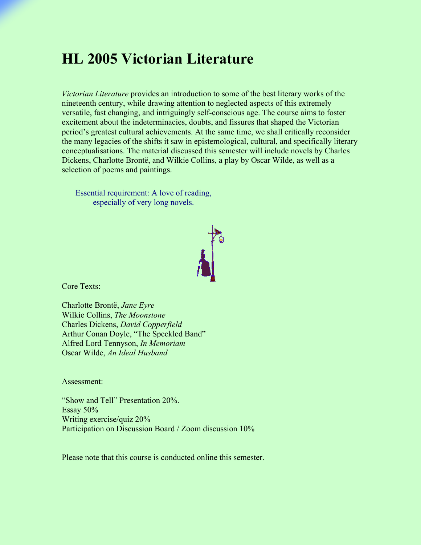## **HL 2005 Victorian Literature**

*Victorian Literature* provides an introduction to some of the best literary works of the nineteenth century, while drawing attention to neglected aspects of this extremely versatile, fast changing, and intriguingly self-conscious age. The course aims to foster excitement about the indeterminacies, doubts, and fissures that shaped the Victorian period's greatest cultural achievements. At the same time, we shall critically reconsider the many legacies of the shifts it saw in epistemological, cultural, and specifically literary conceptualisations. The material discussed this semester will include novels by Charles Dickens, Charlotte Brontë, and Wilkie Collins, a play by Oscar Wilde, as well as a selection of poems and paintings.

Essential requirement: A love of reading, especially of very long novels.



Core Texts:

Charlotte Brontë, *Jane Eyre* Wilkie Collins, *The Moonstone* Charles Dickens, *David Copperfield* Arthur Conan Doyle, "The Speckled Band" Alfred Lord Tennyson, *In Memoriam* Oscar Wilde, *An Ideal Husband*

Assessment:

"Show and Tell" Presentation 20%. Essay 50% Writing exercise/quiz 20% Participation on Discussion Board / Zoom discussion 10%

Please note that this course is conducted online this semester.